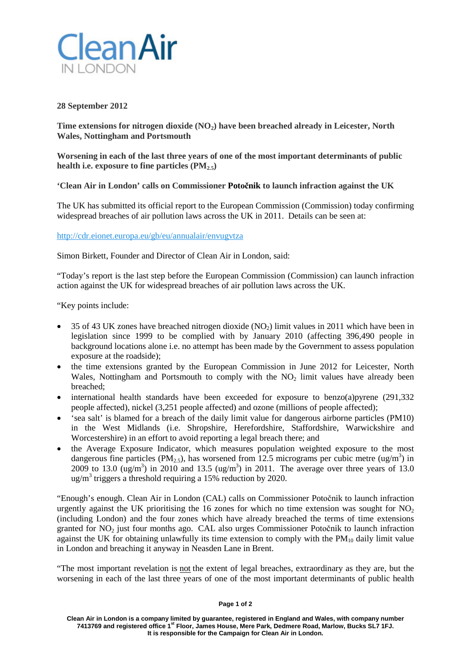

## **28 September 2012**

Time extensions for nitrogen dioxide (NO<sub>2</sub>) have been breached already in Leicester, North **Wales, Nottingham and Portsmouth**

**Worsening in each of the last three years of one of the most important determinants of public**  health i.e. exposure to fine particles  $(PM_{2.5})$ 

**'Clean Air in London' calls on Commissioner Potočnik to launch infraction against the UK**

The UK has submitted its official report to the European Commission (Commission) today confirming widespread breaches of air pollution laws across the UK in 2011. Details can be seen at:

<http://cdr.eionet.europa.eu/gb/eu/annualair/envugvtza>

Simon Birkett, Founder and Director of Clean Air in London, said:

"Today's report is the last step before the European Commission (Commission) can launch infraction action against the UK for widespread breaches of air pollution laws across the UK.

"Key points include:

- 35 of 43 UK zones have breached nitrogen dioxide (NO2) limit values in 2011 which have been in legislation since 1999 to be complied with by January 2010 (affecting 396,490 people in background locations alone i.e. no attempt has been made by the Government to assess population exposure at the roadside);
- the time extensions granted by the European Commission in June 2012 for Leicester, North Wales, Nottingham and Portsmouth to comply with the  $NO<sub>2</sub>$  limit values have already been breached;
- international health standards have been exceeded for exposure to benzo(a)pyrene (291,332 people affected), nickel (3,251 people affected) and ozone (millions of people affected);
- 'sea salt' is blamed for a breach of the daily limit value for dangerous airborne particles (PM10) in the West Midlands (i.e. Shropshire, Herefordshire, Staffordshire, Warwickshire and Worcestershire) in an effort to avoid reporting a legal breach there; and
- the Average Exposure Indicator, which measures population weighted exposure to the most dangerous fine particles (PM<sub>2.5</sub>), has worsened from 12.5 micrograms per cubic metre (ug/m<sup>3</sup>) in 2009 to 13.0  $(\text{ug/m}^3)$  in 2010 and 13.5  $(\text{ug/m}^3)$  in 2011. The average over three years of 13.0  $\mu$ g/m<sup>3</sup> triggers a threshold requiring a 15% reduction by 2020.

"Enough's enough. Clean Air in London (CAL) calls on Commissioner Potočnik to launch infraction urgently against the UK prioritising the 16 zones for which no time extension was sought for  $NO<sub>2</sub>$ (including London) and the four zones which have already breached the terms of time extensions granted for NO<sub>2</sub> just four months ago. CAL also urges Commissioner Potočnik to launch infraction against the UK for obtaining unlawfully its time extension to comply with the  $PM_{10}$  daily limit value in London and breaching it anyway in Neasden Lane in Brent.

"The most important revelation is not the extent of legal breaches, extraordinary as they are, but the worsening in each of the last three years of one of the most important determinants of public health

## **Page 1 of 2**

**Clean Air in London is a company limited by guarantee, registered in England and Wales, with company number 7413769 and registered office 1st Floor, James House, Mere Park, Dedmere Road, Marlow, Bucks SL7 1FJ. It is responsible for the Campaign for Clean Air in London.**